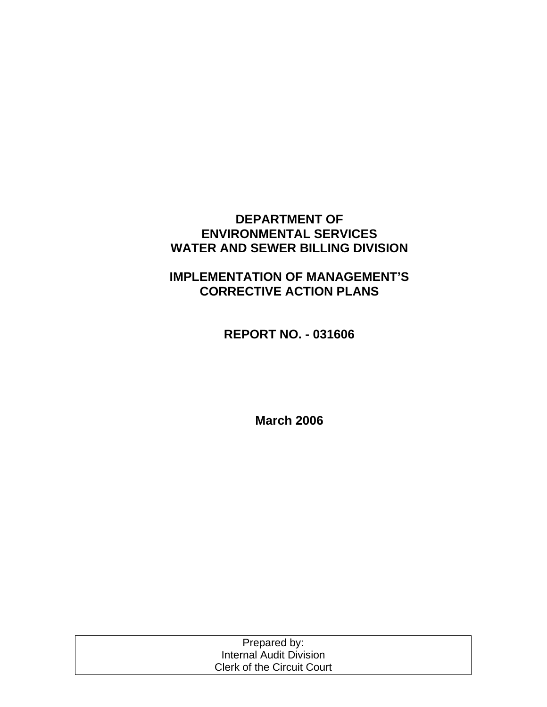### **DEPARTMENT OF ENVIRONMENTAL SERVICES WATER AND SEWER BILLING DIVISION**

# **IMPLEMENTATION OF MANAGEMENT'S CORRECTIVE ACTION PLANS**

**REPORT NO. - 031606** 

**March 2006** 

| Prepared by:                      |  |
|-----------------------------------|--|
| Internal Audit Division           |  |
| <b>Clerk of the Circuit Court</b> |  |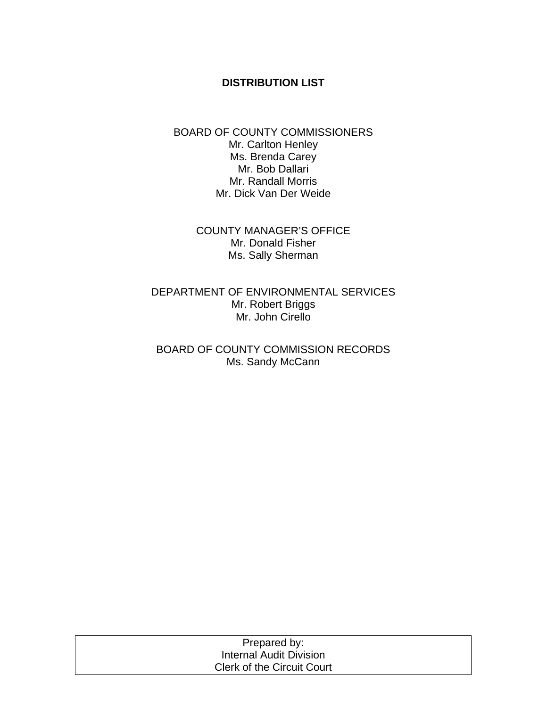#### **DISTRIBUTION LIST**

#### BOARD OF COUNTY COMMISSIONERS Mr. Carlton Henley Ms. Brenda Carey Mr. Bob Dallari Mr. Randall Morris Mr. Dick Van Der Weide

COUNTY MANAGER'S OFFICE Mr. Donald Fisher Ms. Sally Sherman

DEPARTMENT OF ENVIRONMENTAL SERVICES Mr. Robert Briggs Mr. John Cirello

BOARD OF COUNTY COMMISSION RECORDS Ms. Sandy McCann

| Prepared by:                      |  |
|-----------------------------------|--|
| Internal Audit Division           |  |
| <b>Clerk of the Circuit Court</b> |  |